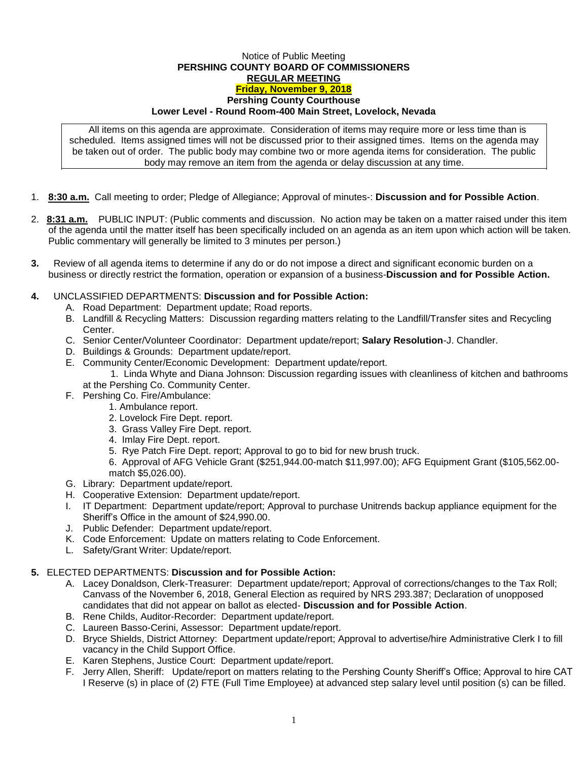## Notice of Public Meeting **PERSHING COUNTY BOARD OF COMMISSIONERS REGULAR MEETING Friday, November 9, 2018 Pershing County Courthouse Lower Level - Round Room-400 Main Street, Lovelock, Nevada**

All items on this agenda are approximate. Consideration of items may require more or less time than is scheduled. Items assigned times will not be discussed prior to their assigned times. Items on the agenda may be taken out of order. The public body may combine two or more agenda items for consideration. The public body may remove an item from the agenda or delay discussion at any time.

- 1. **8:30 a.m.** Call meeting to order; Pledge of Allegiance; Approval of minutes-: **Discussion and for Possible Action**.
- 2. **8:31 a.m.** PUBLIC INPUT: (Public comments and discussion. No action may be taken on a matter raised under this item of the agenda until the matter itself has been specifically included on an agenda as an item upon which action will be taken. Public commentary will generally be limited to 3 minutes per person.)
- **3.** Review of all agenda items to determine if any do or do not impose a direct and significant economic burden on a business or directly restrict the formation, operation or expansion of a business-**Discussion and for Possible Action.**

## **4.** UNCLASSIFIED DEPARTMENTS: **Discussion and for Possible Action:**

- A. Road Department: Department update; Road reports.
- B. Landfill & Recycling Matters: Discussion regarding matters relating to the Landfill/Transfer sites and Recycling Center.
- C. Senior Center/Volunteer Coordinator: Department update/report; **Salary Resolution**-J. Chandler.
- D. Buildings & Grounds: Department update/report.
- E. Community Center/Economic Development: Department update/report.

1. Linda Whyte and Diana Johnson: Discussion regarding issues with cleanliness of kitchen and bathrooms at the Pershing Co. Community Center.

- F. Pershing Co. Fire/Ambulance:
	- 1. Ambulance report.
		- 2. Lovelock Fire Dept. report.
		- 3. Grass Valley Fire Dept. report.
		- 4. Imlay Fire Dept. report.
		- 5. Rye Patch Fire Dept. report; Approval to go to bid for new brush truck.

6. Approval of AFG Vehicle Grant (\$251,944.00-match \$11,997.00); AFG Equipment Grant (\$105,562.00 match \$5,026.00).

- G. Library: Department update/report.
- H. Cooperative Extension: Department update/report.
- I. IT Department: Department update/report; Approval to purchase Unitrends backup appliance equipment for the Sheriff's Office in the amount of \$24,990.00.
- J. Public Defender: Department update/report.
- K. Code Enforcement: Update on matters relating to Code Enforcement.
- L. Safety/Grant Writer: Update/report.

## **5.** ELECTED DEPARTMENTS: **Discussion and for Possible Action:**

- A. Lacey Donaldson, Clerk-Treasurer: Department update/report; Approval of corrections/changes to the Tax Roll; Canvass of the November 6, 2018, General Election as required by NRS 293.387; Declaration of unopposed candidates that did not appear on ballot as elected- **Discussion and for Possible Action**.
- B. Rene Childs, Auditor-Recorder: Department update/report.
- C. Laureen Basso-Cerini, Assessor: Department update/report.
- D. Bryce Shields, District Attorney: Department update/report; Approval to advertise/hire Administrative Clerk I to fill vacancy in the Child Support Office.
- E. Karen Stephens, Justice Court: Department update/report.
- F. Jerry Allen, Sheriff: Update/report on matters relating to the Pershing County Sheriff's Office; Approval to hire CAT I Reserve (s) in place of (2) FTE (Full Time Employee) at advanced step salary level until position (s) can be filled.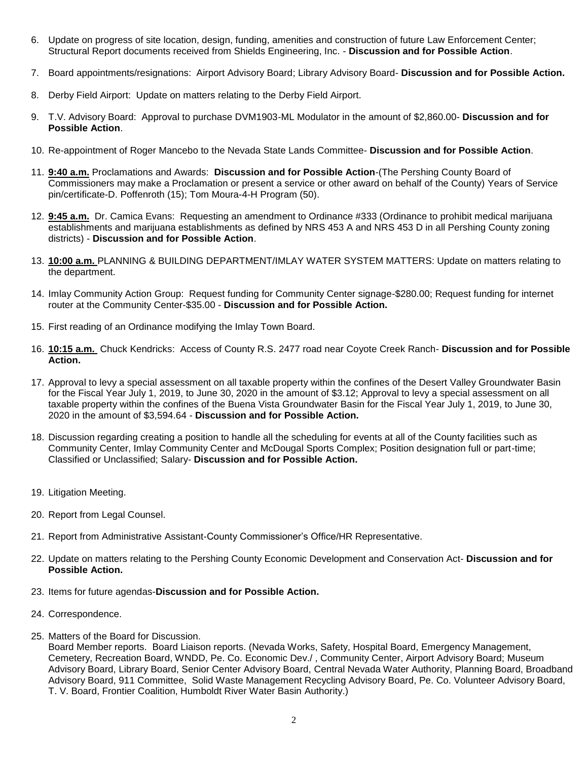- 6. Update on progress of site location, design, funding, amenities and construction of future Law Enforcement Center; Structural Report documents received from Shields Engineering, Inc. - **Discussion and for Possible Action**.
- 7. Board appointments/resignations: Airport Advisory Board; Library Advisory Board- **Discussion and for Possible Action.**
- 8. Derby Field Airport: Update on matters relating to the Derby Field Airport.
- 9. T.V. Advisory Board: Approval to purchase DVM1903-ML Modulator in the amount of \$2,860.00- **Discussion and for Possible Action**.
- 10. Re-appointment of Roger Mancebo to the Nevada State Lands Committee- **Discussion and for Possible Action**.
- 11. **9:40 a.m.** Proclamations and Awards: **Discussion and for Possible Action**-(The Pershing County Board of Commissioners may make a Proclamation or present a service or other award on behalf of the County) Years of Service pin/certificate-D. Poffenroth (15); Tom Moura-4-H Program (50).
- 12. **9:45 a.m.** Dr. Camica Evans: Requesting an amendment to Ordinance #333 (Ordinance to prohibit medical marijuana establishments and marijuana establishments as defined by NRS 453 A and NRS 453 D in all Pershing County zoning districts) - **Discussion and for Possible Action**.
- 13. **10:00 a.m.** PLANNING & BUILDING DEPARTMENT/IMLAY WATER SYSTEM MATTERS: Update on matters relating to the department.
- 14. Imlay Community Action Group: Request funding for Community Center signage-\$280.00; Request funding for internet router at the Community Center-\$35.00 - **Discussion and for Possible Action.**
- 15. First reading of an Ordinance modifying the Imlay Town Board.
- 16. **10:15 a.m.** Chuck Kendricks: Access of County R.S. 2477 road near Coyote Creek Ranch- **Discussion and for Possible Action.**
- 17. Approval to levy a special assessment on all taxable property within the confines of the Desert Valley Groundwater Basin for the Fiscal Year July 1, 2019, to June 30, 2020 in the amount of \$3.12; Approval to levy a special assessment on all taxable property within the confines of the Buena Vista Groundwater Basin for the Fiscal Year July 1, 2019, to June 30, 2020 in the amount of \$3,594.64 - **Discussion and for Possible Action.**
- 18. Discussion regarding creating a position to handle all the scheduling for events at all of the County facilities such as Community Center, Imlay Community Center and McDougal Sports Complex; Position designation full or part-time; Classified or Unclassified; Salary- **Discussion and for Possible Action.**
- 19. Litigation Meeting.
- 20. Report from Legal Counsel.
- 21. Report from Administrative Assistant-County Commissioner's Office/HR Representative.
- 22. Update on matters relating to the Pershing County Economic Development and Conservation Act- **Discussion and for Possible Action.**
- 23. Items for future agendas-**Discussion and for Possible Action.**
- 24. Correspondence.
- 25. Matters of the Board for Discussion.

Board Member reports. Board Liaison reports. (Nevada Works, Safety, Hospital Board, Emergency Management, Cemetery, Recreation Board, WNDD, Pe. Co. Economic Dev./ , Community Center, Airport Advisory Board; Museum Advisory Board, Library Board, Senior Center Advisory Board, Central Nevada Water Authority, Planning Board, Broadband Advisory Board, 911 Committee, Solid Waste Management Recycling Advisory Board, Pe. Co. Volunteer Advisory Board, T. V. Board, Frontier Coalition, Humboldt River Water Basin Authority.)